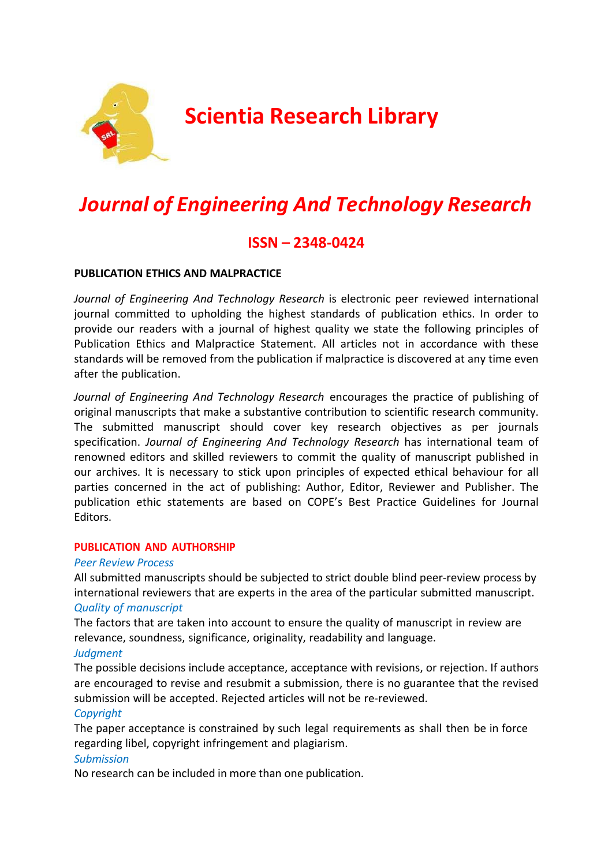

# **Scientia Research Library**

# *Journal of Engineering And Technology Research*

# **ISSN – 2348-0424**

# **PUBLICATION ETHICS AND MALPRACTICE**

*Journal of Engineering And Technology Research* is electronic peer reviewed international journal committed to upholding the highest standards of publication ethics. In order to provide our readers with a journal of highest quality we state the following principles of Publication Ethics and Malpractice Statement. All articles not in accordance with these standards will be removed from the publication if malpractice is discovered at any time even after the publication.

*Journal of Engineering And Technology Research* encourages the practice of publishing of original manuscripts that make a substantive contribution to scientific research community. The submitted manuscript should cover key research objectives as per journals specification. *Journal of Engineering And Technology Research* has international team of renowned editors and skilled reviewers to commit the quality of manuscript published in our archives. It is necessary to stick upon principles of expected ethical behaviour for all parties concerned in the act of publishing: Author, Editor, Reviewer and Publisher. The publication ethic statements are based on COPE's Best Practice Guidelines for Journal Editors.

# **PUBLICATION AND AUTHORSHIP**

# *Peer Review Process*

All submitted manuscripts should be subjected to strict double blind peer-review process by international reviewers that are experts in the area of the particular submitted manuscript. *Quality of manuscript*

The factors that are taken into account to ensure the quality of manuscript in review are relevance, soundness, significance, originality, readability and language.

#### *Judgment*

The possible decisions include acceptance, acceptance with revisions, or rejection. If authors are encouraged to revise and resubmit a submission, there is no guarantee that the revised submission will be accepted. Rejected articles will not be re-reviewed.

# *Copyright*

The paper acceptance is constrained by such legal requirements as shall then be in force regarding libel, copyright infringement and plagiarism.

# *Submission*

No research can be included in more than one publication.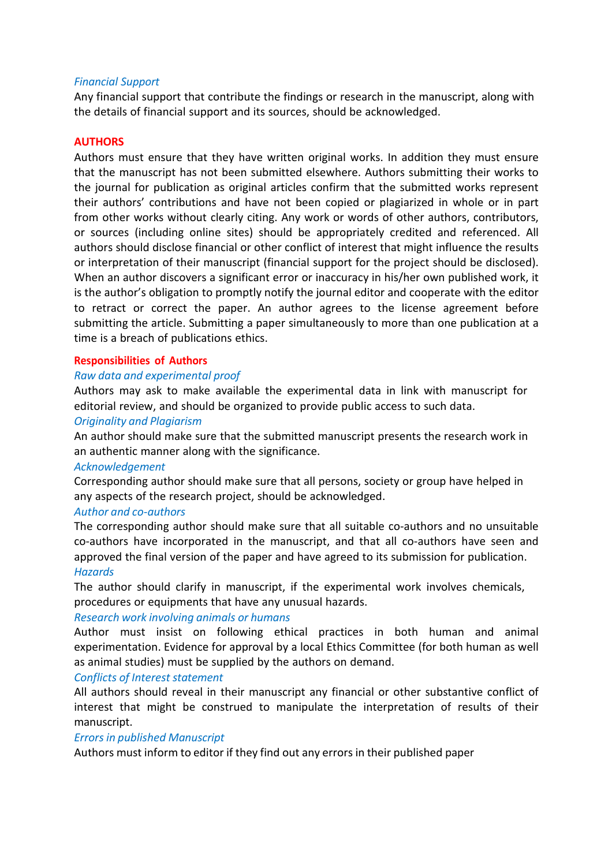# *Financial Support*

Any financial support that contribute the findings or research in the manuscript, along with the details of financial support and its sources, should be acknowledged.

#### **AUTHORS**

Authors must ensure that they have written original works. In addition they must ensure that the manuscript has not been submitted elsewhere. Authors submitting their works to the journal for publication as original articles confirm that the submitted works represent their authors' contributions and have not been copied or plagiarized in whole or in part from other works without clearly citing. Any work or words of other authors, contributors, or sources (including online sites) should be appropriately credited and referenced. All authors should disclose financial or other conflict of interest that might influence the results or interpretation of their manuscript (financial support for the project should be disclosed). When an author discovers a significant error or inaccuracy in his/her own published work, it is the author's obligation to promptly notify the journal editor and cooperate with the editor to retract or correct the paper. An author agrees to the license agreement before submitting the article. Submitting a paper simultaneously to more than one publication at a time is a breach of publications ethics.

## **Responsibilities of Authors**

## *Raw data and experimental proof*

Authors may ask to make available the experimental data in link with manuscript for editorial review, and should be organized to provide public access to such data.

#### *Originality and Plagiarism*

An author should make sure that the submitted manuscript presents the research work in an authentic manner along with the significance.

#### *Acknowledgement*

Corresponding author should make sure that all persons, society or group have helped in any aspects of the research project, should be acknowledged.

#### *Author and co-authors*

The corresponding author should make sure that all suitable co-authors and no unsuitable co-authors have incorporated in the manuscript, and that all co-authors have seen and approved the final version of the paper and have agreed to its submission for publication. *Hazards*

The author should clarify in manuscript, if the experimental work involves chemicals, procedures or equipments that have any unusual hazards.

#### *Research work involving animals or humans*

Author must insist on following ethical practices in both human and animal experimentation. Evidence for approval by a local Ethics Committee (for both human as well as animal studies) must be supplied by the authors on demand.

#### *Conflicts of Interest statement*

All authors should reveal in their manuscript any financial or other substantive conflict of interest that might be construed to manipulate the interpretation of results of their manuscript.

#### *Errors in published Manuscript*

Authors must inform to editor if they find out any errors in their published paper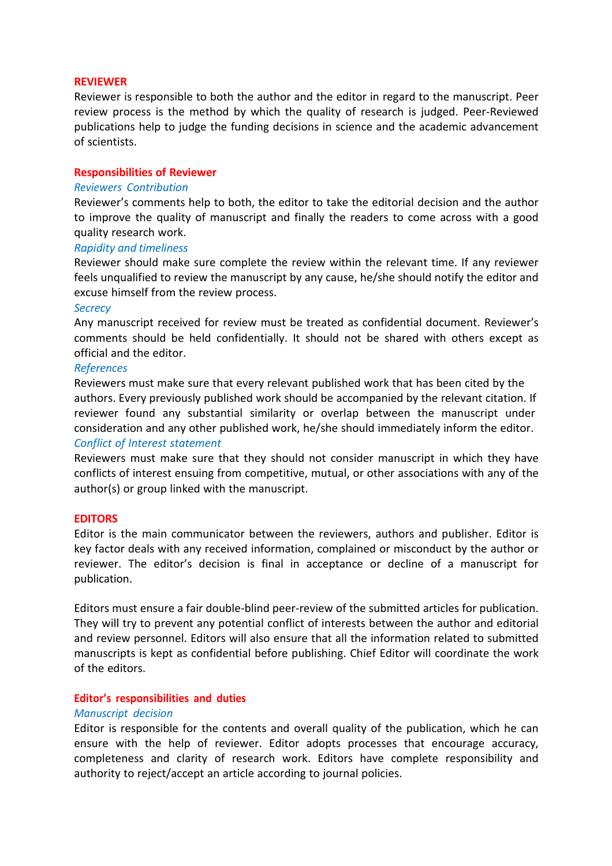#### **REVIEWER**

Reviewer is responsible to both the author and the editor in regard to the manuscript. Peer review process is the method by which the quality of research is judged. Peer-Reviewed publications help to judge the funding decisions in science and the academic advancement of scientists.

#### **Responsibilities of Reviewer**

#### *Reviewers Contribution*

Reviewer's comments help to both, the editor to take the editorial decision and the author to improve the quality of manuscript and finally the readers to come across with a good quality research work.

#### *Rapidity and timeliness*

Reviewer should make sure complete the review within the relevant time. If any reviewer feels unqualified to review the manuscript by any cause, he/she should notify the editor and excuse himself from the review process.

#### *Secrecy*

Any manuscript received for review must be treated as confidential document. Reviewer's comments should be held confidentially. It should not be shared with others except as official and the editor.

#### *References*

Reviewers must make sure that every relevant published work that has been cited by the authors. Every previously published work should be accompanied by the relevant citation. If reviewer found any substantial similarity or overlap between the manuscript under consideration and any other published work, he/she should immediately inform the editor. *Conflict of Interest statement*

# Reviewers must make sure that they should not consider manuscript in which they have conflicts of interest ensuing from competitive, mutual, or other associations with any of the author(s) or group linked with the manuscript.

#### **EDITORS**

Editor is the main communicator between the reviewers, authors and publisher. Editor is key factor deals with any received information, complained or misconduct by the author or reviewer. The editor's decision is final in acceptance or decline of a manuscript for publication.

Editors must ensure a fair double-blind peer-review of the submitted articles for publication. They will try to prevent any potential conflict of interests between the author and editorial and review personnel. Editors will also ensure that all the information related to submitted manuscripts is kept as confidential before publishing. Chief Editor will coordinate the work of the editors.

#### **Editor's responsibilities and duties**

#### *Manuscript decision*

Editor is responsible for the contents and overall quality of the publication, which he can ensure with the help of reviewer. Editor adopts processes that encourage accuracy, completeness and clarity of research work. Editors have complete responsibility and authority to reject/accept an article according to journal policies.